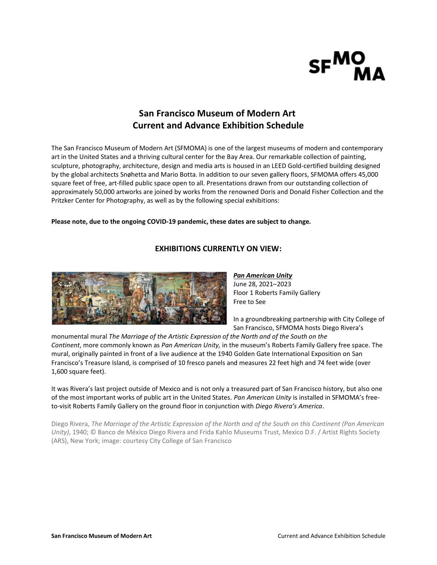

# **San Francisco Museum of Modern Art Current and Advance Exhibition Schedule**

The San Francisco Museum of Modern Art (SFMOMA) is one of the largest museums of modern and contemporary art in the United States and a thriving cultural center for the Bay Area. Our remarkable collection of painting, sculpture, photography, architecture, design and media arts is housed in an LEED Gold-certified building designed by the global architects Snøhetta and Mario Botta. In addition to our seven gallery floors, SFMOMA offers 45,000 square feet of free, art-filled public space open to all. Presentations drawn from our outstanding collection of approximately 50,000 artworks are joined by works from the renowned Doris and Donald Fisher Collection and the Pritzker Center for Photography, as well as by the following special exhibitions:

## **Please note, due to the ongoing COVID-19 pandemic, these dates are subject to change.**

# **EXHIBITIONS CURRENTLY ON VIEW:**



*[Pan American Unity](https://www.sfmoma.org/exhibition/pan-american-unity/)* June 28, 2021–2023 Floor 1 Roberts Family Gallery Free to See

In a groundbreaking partnership with City College of San Francisco, SFMOMA hosts Diego Rivera's

monumental mural *The Marriage of the Artistic Expression of the North and of the South on the Continent*, more commonly known as *Pan American Unity,* in the museum's Roberts Family Gallery free space. The mural, originally painted in front of a live audience at the 1940 Golden Gate International Exposition on San Francisco's Treasure Island, is comprised of 10 fresco panels and measures 22 feet high and 74 feet wide (over 1,600 square feet).

It was Rivera's last project outside of Mexico and is not only a treasured part of San Francisco history, but also one of the most important works of public art in the United States. *Pan American Unity* is installed in SFMOMA's freeto-visit Roberts Family Gallery on the ground floor in conjunction with *Diego Rivera's America*.

Diego Rivera, *The Marriage of the Artistic Expression of the North and of the South on this Continent (Pan American Unity)*, 1940; © Banco de México Diego Rivera and Frida Kahlo Museums Trust, Mexico D.F. / Artist Rights Society (ARS), New York; image: courtesy City College of San Francisco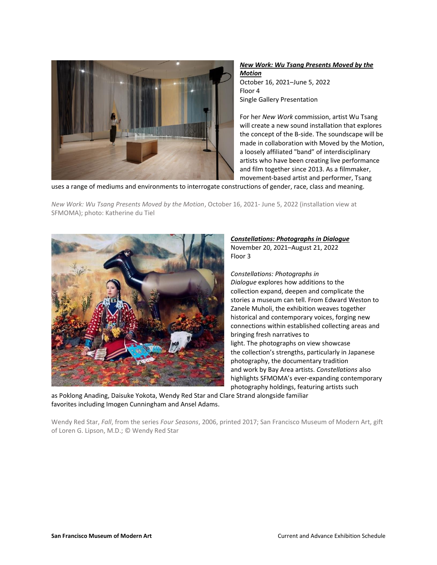

# *New Work: Wu Tsang [Presents Moved by the](https://www.sfmoma.org/exhibition/new-work-wu-tsang-presents-moved-by-the-motion/)  [Motion](https://www.sfmoma.org/exhibition/new-work-wu-tsang-presents-moved-by-the-motion/)* October 16, 2021–June 5, 2022 Floor 4 Single Gallery Presentation

For her *New Work* commission, artist Wu Tsang will create a new sound installation that explores the concept of the B-side. The soundscape will be made in collaboration with Moved by the Motion, a loosely affiliated "band" of interdisciplinary artists who have been creating live performance and film together since 2013. As a filmmaker, movement-based artist and performer, Tsang

uses a range of mediums and environments to interrogate constructions of gender, race, class and meaning.

*New Work: Wu Tsang Presents Moved by the Motion*, October 16, 2021- June 5, 2022 (installation view at SFMOMA); photo: Katherine du Tiel



## *Constellations: [Photographs in Dialogue](https://www.sfmoma.org/exhibition/constellations/#:~:text=Constellations%3A%20Photographs%20in%20Dialogue%20explores,bringing%20fresh%20narratives%20to%20light.)* November 20, 2021–August 21, 2022 Floor 3

*Constellations: Photographs in Dialogue* explores how additions to the collection expand, deepen and complicate the stories a museum can tell. From Edward Weston to Zanele Muholi, the exhibition weaves together historical and contemporary voices, forging new connections within established collecting areas and bringing fresh narratives to light. The photographs on view showcase the collection's strengths, particularly in Japanese photography, the documentary tradition and work by Bay Area artists. *Constellations* also highlights SFMOMA's ever-expanding contemporary photography holdings, featuring artists such

as Poklong Anading, Daisuke Yokota, Wendy Red Star and Clare Strand alongside familiar favorites including Imogen Cunningham and Ansel Adams.

Wendy Red Star, *Fall*, from the series *Four Seasons*, 2006, printed 2017; San Francisco Museum of Modern Art, gift of Loren G. Lipson, M.D.; © Wendy Red Star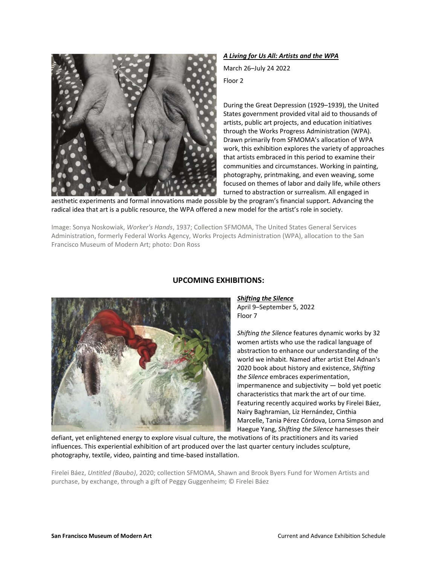

*A Living for Us All: Artists and the WPA*

March 26–July 24 2022

Floor 2

During the Great Depression (1929–1939), the United States government provided vital aid to thousands of artists, public art projects, and education initiatives through the Works Progress Administration (WPA). Drawn primarily from SFMOMA's allocation of WPA work, this exhibition explores the variety of approaches that artists embraced in this period to examine their communities and circumstances. Working in painting, photography, printmaking, and even weaving, some focused on themes of labor and daily life, while others turned to abstraction or surrealism. All engaged in

aesthetic experiments and formal innovations made possible by the program's financial support. Advancing the radical idea that art is a public resource, the WPA offered a new model for the artist's role in society.

Image: Sonya Noskowiak, *Worker's Hands*, 1937; Collection SFMOMA, The United States General Services Administration, formerly Federal Works Agency, Works Projects Administration (WPA), allocation to the San Francisco Museum of Modern Art; photo: Don Ross



# **UPCOMING EXHIBITIONS:**

*Shifting the Silence*

April 9–September 5, 2022 Floor 7

*Shifting the Silence* features dynamic works by 32 women artists who use the radical language of abstraction to enhance our understanding of the world we inhabit. Named after artist Etel Adnan's 2020 book about history and existence, *Shifting the Silence* embraces experimentation, impermanence and subjectivity — bold yet poetic characteristics that mark the art of our time. Featuring recently acquired works by Firelei Báez, Nairy Baghramian, Liz Hernández, Cinthia Marcelle, Tania Pérez Córdova, Lorna Simpson and Haegue Yang, *Shifting the Silence* harnesses their

defiant, yet enlightened energy to explore visual culture, the motivations of its practitioners and its varied influences. This experiential exhibition of art produced over the last quarter century includes sculpture, photography, textile, video, painting and time-based installation.

Firelei Báez, *Untitled (Baubo)*, 2020; collection SFMOMA, Shawn and Brook Byers Fund for Women Artists and purchase, by exchange, through a gift of Peggy Guggenheim; © Firelei Báez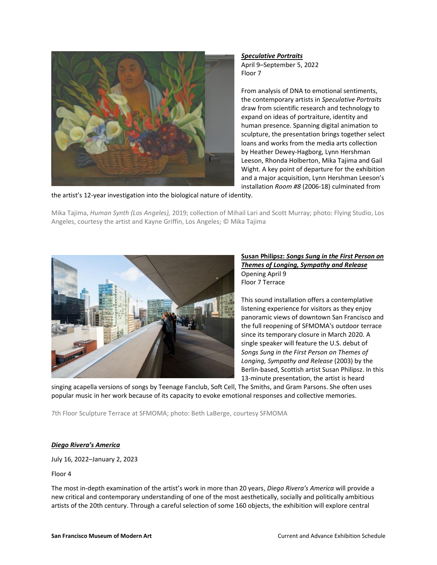

*Speculative Portraits* 

April 9–September 5, 2022 Floor 7

From analysis of DNA to emotional sentiments, the contemporary artists in *Speculative Portraits*  draw from scientific research and technology to expand on ideas of portraiture, identity and human presence. Spanning digital animation to sculpture, the presentation brings together select loans and works from the media arts collection by Heather Dewey-Hagborg, Lynn Hershman Leeson, Rhonda Holberton, Mika Tajima and Gail Wight. A key point of departure for the exhibition and a major acquisition, Lynn Hershman Leeson's installation *Room #8* (2006-18) culminated from

the artist's 12-year investigation into the biological nature of identity.

Mika Tajima, *Human Synth (Los Angeles),* 2019; collection of Mihail Lari and Scott Murray; photo: Flying Studio, Los Angeles, courtesy the artist and Kayne Griffin, Los Angeles; © Mika Tajima



**Susan Philipsz:** *Songs Sung in the First Person on Themes of Longing, Sympathy and Release* Opening April 9 Floor 7 Terrace

This sound installation offers a contemplative listening experience for visitors as they enjoy panoramic views of downtown San Francisco and the full reopening of SFMOMA's outdoor terrace since its temporary closure in March 2020. A single speaker will feature the U.S. debut of *Songs Sung in the First Person on Themes of Longing, Sympathy and Release* (2003) by the Berlin-based, Scottish artist Susan Philipsz. In this 13-minute presentation, the artist is heard

singing acapella versions of songs by Teenage Fanclub, Soft Cell, The Smiths, and Gram Parsons. She often uses popular music in her work because of its capacity to evoke emotional responses and collective memories.

7th Floor Sculpture Terrace at SFMOMA; photo: Beth LaBerge, courtesy SFMOMA

# *Diego Rivera's America*

July 16, 2022–January 2, 2023

Floor 4

The most in-depth examination of the artist's work in more than 20 years, *Diego Rivera's America* will provide a new critical and contemporary understanding of one of the most aesthetically, socially and politically ambitious artists of the 20th century. Through a careful selection of some 160 objects, the exhibition will explore central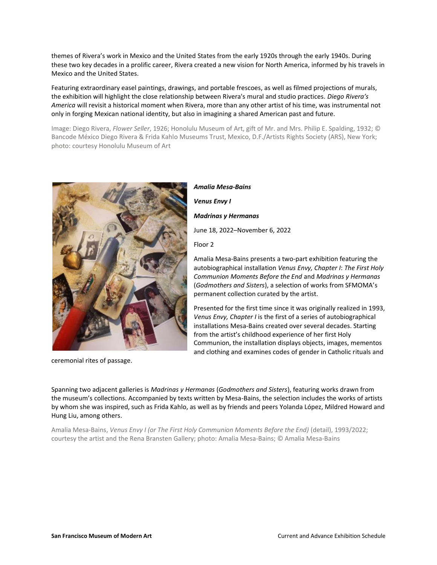themes of Rivera's work in Mexico and the United States from the early 1920s through the early 1940s. During these two key decades in a prolific career, Rivera created a new vision for North America, informed by his travels in Mexico and the United States.

Featuring extraordinary easel paintings, drawings, and portable frescoes, as well as filmed projections of murals, the exhibition will highlight the close relationship between Rivera's mural and studio practices. *Diego Rivera's America* will revisit a historical moment when Rivera, more than any other artist of his time, was instrumental not only in forging Mexican national identity, but also in imagining a shared American past and future.

Image: Diego Rivera, *Flower Seller*, 1926; Honolulu Museum of Art, gift of Mr. and Mrs. Philip E. Spalding, 1932; © Bancode México Diego Rivera & Frida Kahlo Museums Trust, Mexico, D.F./Artists Rights Society (ARS), New York; photo: courtesy Honolulu Museum of Art



ceremonial rites of passage.

*Amalia Mesa-Bains Venus Envy I Madrinas y Hermanas* June 18, 2022–November 6, 2022 Floor 2

Amalia Mesa-Bains presents a two-part exhibition featuring the autobiographical installation *Venus Envy, Chapter I*: *The First Holy Communion Moments Before the End* and *Madrinas y Hermanas* (*Godmothers and Sisters*), a selection of works from SFMOMA's permanent collection curated by the artist.

Presented for the first time since it was originally realized in 1993, *Venus Envy, Chapter I* is the first of a series of autobiographical installations Mesa-Bains created over several decades. Starting from the artist's childhood experience of her first Holy Communion, the installation displays objects, images, mementos and clothing and examines codes of gender in Catholic rituals and

Spanning two adjacent galleries is *Madrinas y Hermanas* (*Godmothers and Sisters*), featuring works drawn from the museum's collections. Accompanied by texts written by Mesa-Bains, the selection includes the works of artists by whom she was inspired, such as Frida Kahlo, as well as by friends and peers Yolanda López, Mildred Howard and Hung Liu, among others.

Amalia Mesa-Bains, *Venus Envy I (or The First Holy Communion Moments Before the End)* (detail), 1993/2022; courtesy the artist and the Rena Bransten Gallery; photo: Amalia Mesa-Bains; © Amalia Mesa-Bains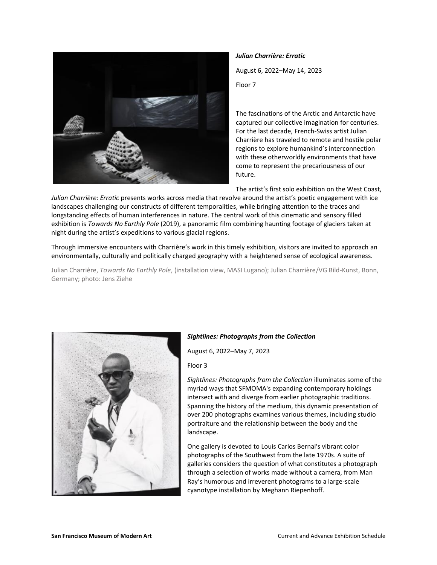

*Julian Charrière: Erratic* 

August 6, 2022–May 14, 2023

Floor 7

The fascinations of the Arctic and Antarctic have captured our collective imagination for centuries. For the last decade, French-Swiss artist Julian Charrière has traveled to remote and hostile polar regions to explore humankind's interconnection with these otherworldly environments that have come to represent the precariousness of our future.

The artist's first solo exhibition on the West Coast,

*Julian Charrière: Erratic* presents works across media that revolve around the artist's poetic engagement with ice landscapes challenging our constructs of different temporalities, while bringing attention to the traces and longstanding effects of human interferences in nature. The central work of this cinematic and sensory filled exhibition is *Towards No Earthly Pole* (2019), a panoramic film combining haunting footage of glaciers taken at night during the artist's expeditions to various glacial regions.

Through immersive encounters with Charrière's work in this timely exhibition, visitors are invited to approach an environmentally, culturally and politically charged geography with a heightened sense of ecological awareness.

Julian Charrière, *Towards No Earthly Pole*, (installation view, MASI Lugano); Julian Charrière/VG Bild-Kunst, Bonn, Germany; photo: Jens Ziehe



# *Sightlines: Photographs from the Collection*

August 6, 2022–May 7, 2023

Floor 3

*Sightlines: Photographs from the Collection* illuminates some of the myriad ways that SFMOMA's expanding contemporary holdings intersect with and diverge from earlier photographic traditions. Spanning the history of the medium, this dynamic presentation of over 200 photographs examines various themes, including studio portraiture and the relationship between the body and the landscape.

One gallery is devoted to Louis Carlos Bernal's vibrant color photographs of the Southwest from the late 1970s. A suite of galleries considers the question of what constitutes a photograph through a selection of works made without a camera, from Man Ray's humorous and irreverent photograms to a large-scale cyanotype installation by Meghann Riepenhoff.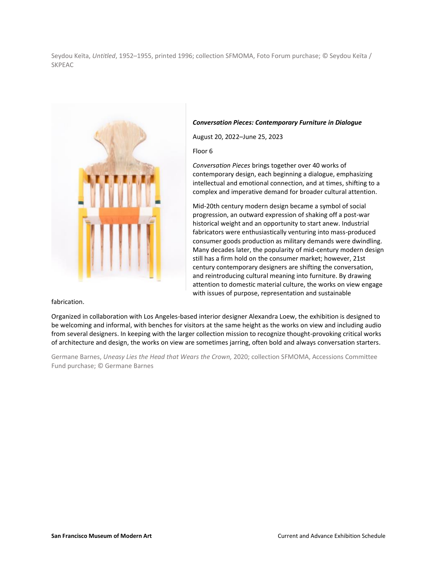Seydou Keïta, *Untitled*, 1952–1955, printed 1996; collection SFMOMA, Foto Forum purchase; © Seydou Keïta / SKPEAC



fabrication.

## *Conversation Pieces: Contemporary Furniture in Dialogue*

August 20, 2022–June 25, 2023

Floor 6

*Conversation Pieces* brings together over 40 works of contemporary design, each beginning a dialogue, emphasizing intellectual and emotional connection, and at times, shifting to a complex and imperative demand for broader cultural attention.

Mid-20th century modern design became a symbol of social progression, an outward expression of shaking off a post-war historical weight and an opportunity to start anew. Industrial fabricators were enthusiastically venturing into mass-produced consumer goods production as military demands were dwindling. Many decades later, the popularity of mid-century modern design still has a firm hold on the consumer market; however, 21st century contemporary designers are shifting the conversation, and reintroducing cultural meaning into furniture. By drawing attention to domestic material culture, the works on view engage with issues of purpose, representation and sustainable

Organized in collaboration with Los Angeles-based interior designer Alexandra Loew, the exhibition is designed to be welcoming and informal, with benches for visitors at the same height as the works on view and including audio from several designers. In keeping with the larger collection mission to recognize thought-provoking critical works of architecture and design, the works on view are sometimes jarring, often bold and always conversation starters.

Germane Barnes, *Uneasy Lies the Head that Wears the Crown,* 2020; collection SFMOMA, Accessions Committee Fund purchase; © Germane Barnes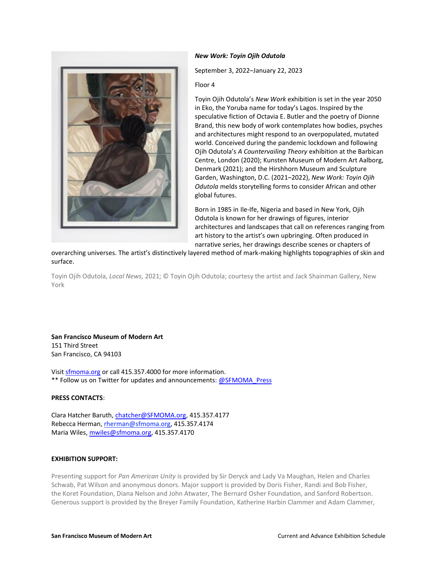

## *New Work: Toyin Ojih Odutola*

September 3, 2022–January 22, 2023

Floor 4

Toyin Ojih Odutola's *New Work* exhibition is set in the year 2050 in Eko, the Yoruba name for today's Lagos. Inspired by the speculative fiction of Octavia E. Butler and the poetry of Dionne Brand, this new body of work contemplates how bodies, psyches and architectures might respond to an overpopulated, mutated world. Conceived during the pandemic lockdown and following Ojih Odutola's *A Countervailing Theory* exhibition at the Barbican Centre, London (2020); Kunsten Museum of Modern Art Aalborg, Denmark (2021); and the Hirshhorn Museum and Sculpture Garden, Washington, D.C. (2021–2022), *New Work: Toyin Ojih Odutola* melds storytelling forms to consider African and other global futures.

Born in 1985 in Ile-Ife, Nigeria and based in New York, Ojih Odutola is known for her drawings of figures, interior architectures and landscapes that call on references ranging from art history to the artist's own upbringing. Often produced in narrative series, her drawings describe scenes or chapters of

overarching universes. The artist's distinctively layered method of mark-making highlights topographies of skin and surface.

Toyin Ojih Odutola, *Local News,* 2021; © Toyin Ojih Odutola; courtesy the artist and Jack Shainman Gallery, New York

**San Francisco Museum of Modern Art** 151 Third Street San Francisco, CA 94103

Visit [sfmoma.org](http://link.mediaoutreach.meltwater.com/ls/click?upn=74evwqN42h7EWJUjAuIDM8jHInWWpCDETBVzf4PkXPI-3DwCmm_ybRp7dpP-2FoumXUrmIuy3n6CdMlNZwaAqw-2F7fCm9MizEaSicBmTpfNzg9VmLziuNmZfDSKI4IxrooUcM7PoZErSMe-2BjqKXGXqJYjL8vJpki346DORnSS70dvs9OQX4wfNHQZfHJhWbkzJGMuwFilBtjUVwNXdmEzMnP-2Fv7FdoiKf1dlkAZpHvp0dOLGUUXhEjnQ198QhbZbBtcWe7xhHc0gWpEBaJioRD0uFw4TskilH4onN0QRupPcfALjwvun0hC22glw26h7zoMBspJCA2yV7-2B-2FSzXD3SD2MNp5MzI71l4fvy8QjsjS2nEgzYwvxdyUeef3GiZ-2FOEos-2FGNAUeMimhjSuLmV-2BUGkplW4SGn6BFzRDnfbk6J0ubWogFeX8zr) or call 415.357.4000 for more information. \*\* Follow us on Twitter for updates and announcements: [@SFMOMA\\_Press](http://link.mediaoutreach.meltwater.com/ls/click?upn=FnnVeh1LOp-2BMpo00sMKwmbRJlYCfnumYgMVHfzCZEOLlkalCy-2Ff9fbreQVEfvRRw18Cc_ybRp7dpP-2FoumXUrmIuy3n6CdMlNZwaAqw-2F7fCm9MizEaSicBmTpfNzg9VmLziuNmZfDSKI4IxrooUcM7PoZErSMe-2BjqKXGXqJYjL8vJpki346DORnSS70dvs9OQX4wfNHQZfHJhWbkzJGMuwFilBtjUVwNXdmEzMnP-2Fv7FdoiKf1dlkAZpHvp0dOLGUUXhEjnQ198QhbZbBtcWe7xhHc0lg4fC46XMytdcrOBhzt8MiEX53Zfn-2FZn7aziylSItKUn1qJx3N-2FJmeN29tlfmMom6IfyMUrVStkaWGfFrdFdgBPPkzmVu6CLs1fGQqrWku9cYNz7pW7wD4Geriqo5xPk293x-2Bm1ZTkU58QgXMUzfmNv2pYnwKpEgw4kTT5xd2lf)

#### **PRESS CONTACTS**:

Clara Hatcher Baruth, [chatcher@SFMOMA.org,](mailto:chatcher@SFMOMA.org) 415.357.4177 Rebecca Herman[, rherman@sfmoma.org,](mailto:rherman@sfmoma.org) 415.357.4174 Maria Wiles, [mwiles@sfmoma.org,](mailto:mwiles@sfmoma.org) 415.357.4170

## **EXHIBITION SUPPORT:**

Presenting support for *Pan American Unity* is provided by Sir Deryck and Lady Va Maughan, Helen and Charles Schwab, Pat Wilson and anonymous donors. Major support is provided by Doris Fisher, Randi and Bob Fisher, the Koret Foundation, Diana Nelson and John Atwater, The Bernard Osher Foundation, and Sanford Robertson. Generous support is provided by the Breyer Family Foundation, Katherine Harbin Clammer and Adam Clammer,